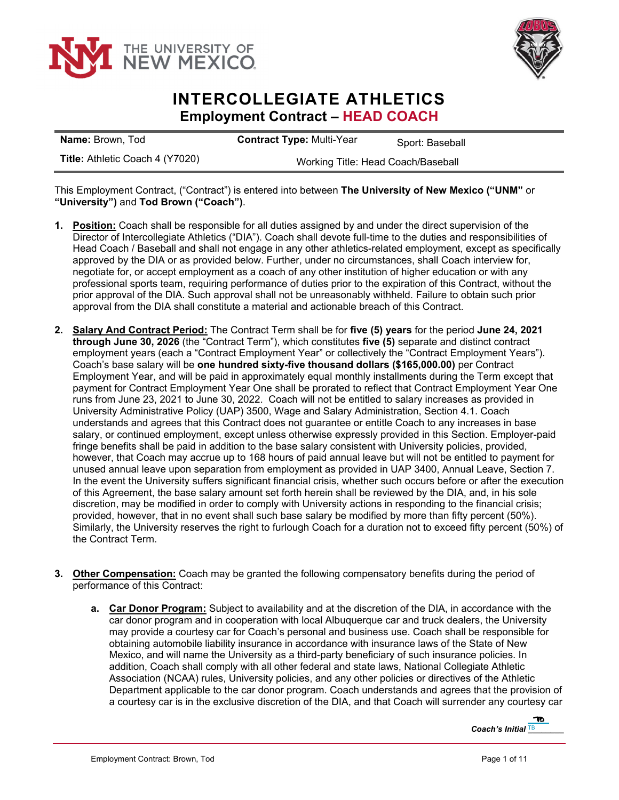



## **INTERCOLLEGIATE ATHLETICS Employment Contract – HEAD COACH**

| <b>Name:</b> Brown, Tod                | <b>Contract Type: Multi-Year</b>   | Sport: Baseball |
|----------------------------------------|------------------------------------|-----------------|
| <b>Title: Athletic Coach 4 (Y7020)</b> | Working Title: Head Coach/Baseball |                 |

This Employment Contract, ("Contract") is entered into between **The University of New Mexico ("UNM"** or **"University")** and **Tod Brown ("Coach")**.

- **1. Position:** Coach shall be responsible for all duties assigned by and under the direct supervision of the Director of Intercollegiate Athletics ("DIA"). Coach shall devote full-time to the duties and responsibilities of Head Coach / Baseball and shall not engage in any other athletics-related employment, except as specifically approved by the DIA or as provided below. Further, under no circumstances, shall Coach interview for, negotiate for, or accept employment as a coach of any other institution of higher education or with any professional sports team, requiring performance of duties prior to the expiration of this Contract, without the prior approval of the DIA. Such approval shall not be unreasonably withheld. Failure to obtain such prior approval from the DIA shall constitute a material and actionable breach of this Contract.
- **2. Salary And Contract Period:** The Contract Term shall be for **five (5) years** for the period **June 24, 2021 through June 30, 2026** (the "Contract Term"), which constitutes **five (5)** separate and distinct contract employment years (each a "Contract Employment Year" or collectively the "Contract Employment Years"). Coach's base salary will be **one hundred sixty-five thousand dollars (\$165,000.00)** per Contract Employment Year, and will be paid in approximately equal monthly installments during the Term except that payment for Contract Employment Year One shall be prorated to reflect that Contract Employment Year One runs from June 23, 2021 to June 30, 2022. Coach will not be entitled to salary increases as provided in University Administrative Policy (UAP) 3500, Wage and Salary Administration, Section 4.1. Coach understands and agrees that this Contract does not guarantee or entitle Coach to any increases in base salary, or continued employment, except unless otherwise expressly provided in this Section. Employer-paid fringe benefits shall be paid in addition to the base salary consistent with University policies, provided, however, that Coach may accrue up to 168 hours of paid annual leave but will not be entitled to payment for unused annual leave upon separation from employment as provided in UAP 3400, Annual Leave, Section 7. In the event the University suffers significant financial crisis, whether such occurs before or after the execution of this Agreement, the base salary amount set forth herein shall be reviewed by the DIA, and, in his sole discretion, may be modified in order to comply with University actions in responding to the financial crisis; provided, however, that in no event shall such base salary be modified by more than fifty percent (50%). Similarly, the University reserves the right to furlough Coach for a duration not to exceed fifty percent (50%) of the Contract Term.
- **3. Other Compensation:** Coach may be granted the following compensatory benefits during the period of performance of this Contract:
	- **a. Car Donor Program:** Subject to availability and at the discretion of the DIA, in accordance with the car donor program and in cooperation with local Albuquerque car and truck dealers, the University may provide a courtesy car for Coach's personal and business use. Coach shall be responsible for obtaining automobile liability insurance in accordance with insurance laws of the State of New Mexico, and will name the University as a third-party beneficiary of such insurance policies. In addition, Coach shall comply with all other federal and state laws, National Collegiate Athletic Association (NCAA) rules, University policies, and any other policies or directives of the Athletic Department applicable to the car donor program. Coach understands and agrees that the provision of a courtesy car is in the exclusive discretion of the DIA, and that Coach will surrender any courtesy car

*Coach's Initial* **IB** 2020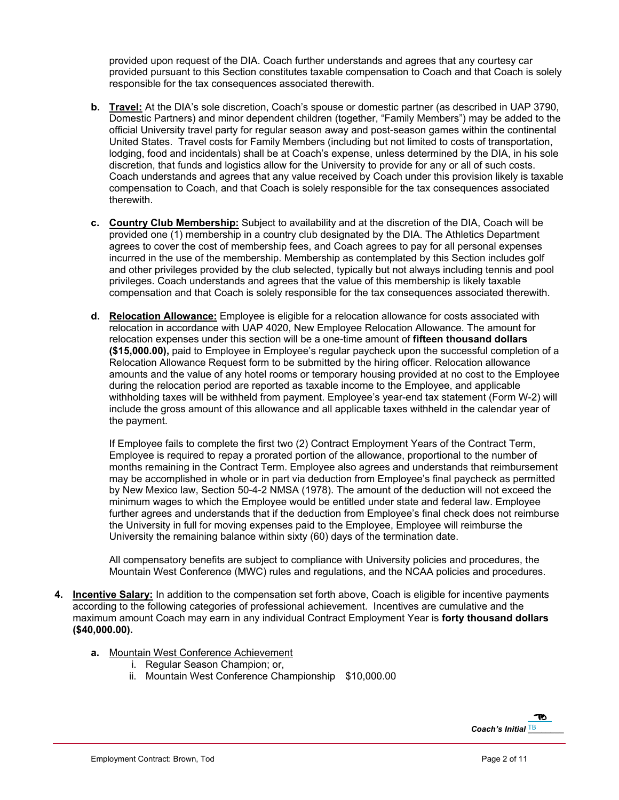provided upon request of the DIA. Coach further understands and agrees that any courtesy car provided pursuant to this Section constitutes taxable compensation to Coach and that Coach is solely responsible for the tax consequences associated therewith.

- **b. Travel:** At the DIA's sole discretion, Coach's spouse or domestic partner (as described in UAP 3790, Domestic Partners) and minor dependent children (together, "Family Members") may be added to the official University travel party for regular season away and post-season games within the continental United States. Travel costs for Family Members (including but not limited to costs of transportation, lodging, food and incidentals) shall be at Coach's expense, unless determined by the DIA, in his sole discretion, that funds and logistics allow for the University to provide for any or all of such costs. Coach understands and agrees that any value received by Coach under this provision likely is taxable compensation to Coach, and that Coach is solely responsible for the tax consequences associated therewith.
- **c. Country Club Membership:** Subject to availability and at the discretion of the DIA, Coach will be provided one (1) membership in a country club designated by the DIA. The Athletics Department agrees to cover the cost of membership fees, and Coach agrees to pay for all personal expenses incurred in the use of the membership. Membership as contemplated by this Section includes golf and other privileges provided by the club selected, typically but not always including tennis and pool privileges. Coach understands and agrees that the value of this membership is likely taxable compensation and that Coach is solely responsible for the tax consequences associated therewith.
- **d. Relocation Allowance:** Employee is eligible for a relocation allowance for costs associated with relocation in accordance with UAP 4020, New Employee Relocation Allowance. The amount for relocation expenses under this section will be a one-time amount of **fifteen thousand dollars (\$15,000.00),** paid to Employee in Employee's regular paycheck upon the successful completion of a Relocation Allowance Request form to be submitted by the hiring officer. Relocation allowance amounts and the value of any hotel rooms or temporary housing provided at no cost to the Employee during the relocation period are reported as taxable income to the Employee, and applicable withholding taxes will be withheld from payment. Employee's year-end tax statement (Form W-2) will include the gross amount of this allowance and all applicable taxes withheld in the calendar year of the payment.

If Employee fails to complete the first two (2) Contract Employment Years of the Contract Term, Employee is required to repay a prorated portion of the allowance, proportional to the number of months remaining in the Contract Term. Employee also agrees and understands that reimbursement may be accomplished in whole or in part via deduction from Employee's final paycheck as permitted by New Mexico law, Section 50-4-2 NMSA (1978). The amount of the deduction will not exceed the minimum wages to which the Employee would be entitled under state and federal law. Employee further agrees and understands that if the deduction from Employee's final check does not reimburse the University in full for moving expenses paid to the Employee, Employee will reimburse the University the remaining balance within sixty (60) days of the termination date.

All compensatory benefits are subject to compliance with University policies and procedures, the Mountain West Conference (MWC) rules and regulations, and the NCAA policies and procedures.

- **4. Incentive Salary:** In addition to the compensation set forth above, Coach is eligible for incentive payments according to the following categories of professional achievement. Incentives are cumulative and the maximum amount Coach may earn in any individual Contract Employment Year is **forty thousand dollars (\$40,000.00).**
	- **a.** Mountain West Conference Achievement
		- i. Regular Season Champion; or,
		- ii. Mountain West Conference Championship \$10,000.00

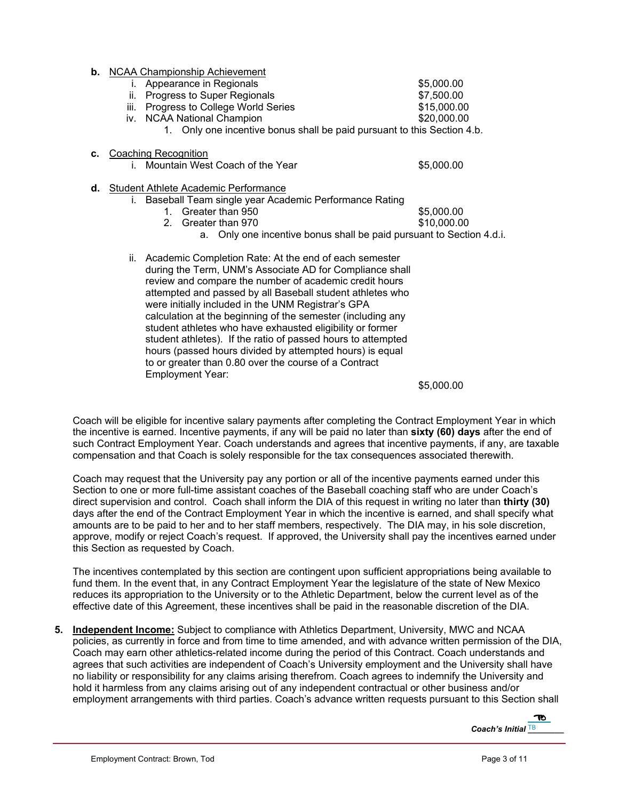**b.** NCAA Championship Achievement i. Appearance in Regionals **1998 1998 35,000.00** ii. Progress to Super Regionals **\$7,500.00** iii. Progress to College World Series **\$15,000.00** iv. NCAA National Champion  $$20,000.00$ 1. Only one incentive bonus shall be paid pursuant to this Section 4.b. **c.** Coaching Recognition i. Mountain West Coach of the Year **\$5,000.00 d.** Student Athlete Academic Performance i. Baseball Team single year Academic Performance Rating 1. Greater than 950 **\$5,000.00** 2. Greater than 970 \$10,000.00 a. Only one incentive bonus shall be paid pursuant to Section 4.d.i. ii. Academic Completion Rate: At the end of each semester during the Term, UNM's Associate AD for Compliance shall review and compare the number of academic credit hours attempted and passed by all Baseball student athletes who were initially included in the UNM Registrar's GPA calculation at the beginning of the semester (including any student athletes who have exhausted eligibility or former student athletes). If the ratio of passed hours to attempted hours (passed hours divided by attempted hours) is equal to or greater than 0.80 over the course of a Contract Employment Year:  $$5,000.00$ 

Coach will be eligible for incentive salary payments after completing the Contract Employment Year in which the incentive is earned. Incentive payments, if any will be paid no later than **sixty (60) days** after the end of such Contract Employment Year. Coach understands and agrees that incentive payments, if any, are taxable compensation and that Coach is solely responsible for the tax consequences associated therewith.

Coach may request that the University pay any portion or all of the incentive payments earned under this Section to one or more full-time assistant coaches of the Baseball coaching staff who are under Coach's direct supervision and control. Coach shall inform the DIA of this request in writing no later than **thirty (30)** days after the end of the Contract Employment Year in which the incentive is earned, and shall specify what amounts are to be paid to her and to her staff members, respectively. The DIA may, in his sole discretion, approve, modify or reject Coach's request. If approved, the University shall pay the incentives earned under this Section as requested by Coach.

The incentives contemplated by this section are contingent upon sufficient appropriations being available to fund them. In the event that, in any Contract Employment Year the legislature of the state of New Mexico reduces its appropriation to the University or to the Athletic Department, below the current level as of the effective date of this Agreement, these incentives shall be paid in the reasonable discretion of the DIA.

**5. Independent Income:** Subject to compliance with Athletics Department, University, MWC and NCAA policies, as currently in force and from time to time amended, and with advance written permission of the DIA, Coach may earn other athletics-related income during the period of this Contract. Coach understands and agrees that such activities are independent of Coach's University employment and the University shall have no liability or responsibility for any claims arising therefrom. Coach agrees to indemnify the University and hold it harmless from any claims arising out of any independent contractual or other business and/or employment arrangements with third parties. Coach's advance written requests pursuant to this Section shall

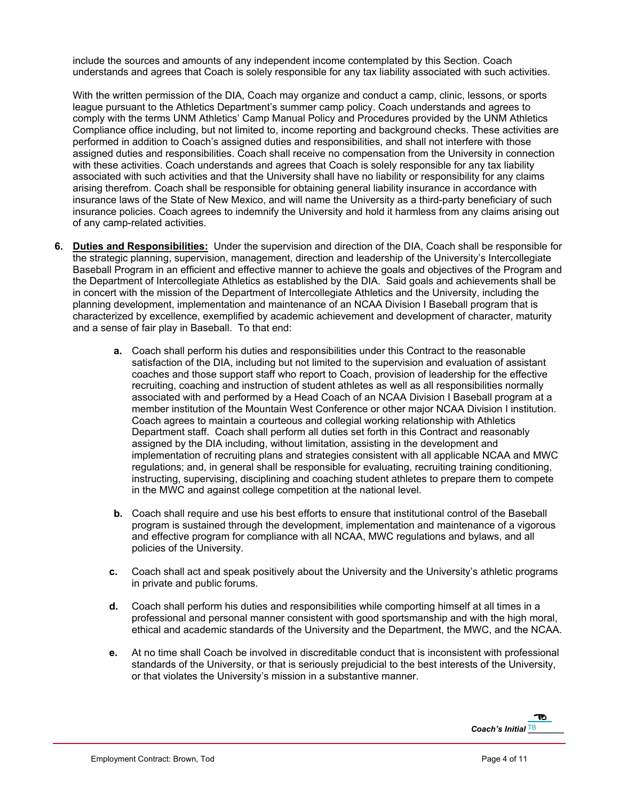include the sources and amounts of any independent income contemplated by this Section. Coach understands and agrees that Coach is solely responsible for any tax liability associated with such activities.

With the written permission of the DIA, Coach may organize and conduct a camp, clinic, lessons, or sports league pursuant to the Athletics Department's summer camp policy. Coach understands and agrees to comply with the terms UNM Athletics' Camp Manual Policy and Procedures provided by the UNM Athletics Compliance office including, but not limited to, income reporting and background checks. These activities are performed in addition to Coach's assigned duties and responsibilities, and shall not interfere with those assigned duties and responsibilities. Coach shall receive no compensation from the University in connection with these activities. Coach understands and agrees that Coach is solely responsible for any tax liability associated with such activities and that the University shall have no liability or responsibility for any claims arising therefrom. Coach shall be responsible for obtaining general liability insurance in accordance with insurance laws of the State of New Mexico, and will name the University as a third-party beneficiary of such insurance policies. Coach agrees to indemnify the University and hold it harmless from any claims arising out of any camp-related activities.

- **6. Duties and Responsibilities:** Under the supervision and direction of the DIA, Coach shall be responsible for the strategic planning, supervision, management, direction and leadership of the University's Intercollegiate Baseball Program in an efficient and effective manner to achieve the goals and objectives of the Program and the Department of Intercollegiate Athletics as established by the DIA. Said goals and achievements shall be in concert with the mission of the Department of Intercollegiate Athletics and the University, including the planning development, implementation and maintenance of an NCAA Division I Baseball program that is characterized by excellence, exemplified by academic achievement and development of character, maturity and a sense of fair play in Baseball. To that end:
	- **a.** Coach shall perform his duties and responsibilities under this Contract to the reasonable satisfaction of the DIA, including but not limited to the supervision and evaluation of assistant coaches and those support staff who report to Coach, provision of leadership for the effective recruiting, coaching and instruction of student athletes as well as all responsibilities normally associated with and performed by a Head Coach of an NCAA Division I Baseball program at a member institution of the Mountain West Conference or other major NCAA Division I institution. Coach agrees to maintain a courteous and collegial working relationship with Athletics Department staff. Coach shall perform all duties set forth in this Contract and reasonably assigned by the DIA including, without limitation, assisting in the development and implementation of recruiting plans and strategies consistent with all applicable NCAA and MWC regulations; and, in general shall be responsible for evaluating, recruiting training conditioning, instructing, supervising, disciplining and coaching student athletes to prepare them to compete in the MWC and against college competition at the national level.
	- **b.** Coach shall require and use his best efforts to ensure that institutional control of the Baseball program is sustained through the development, implementation and maintenance of a vigorous and effective program for compliance with all NCAA, MWC regulations and bylaws, and all policies of the University.
	- **c.** Coach shall act and speak positively about the University and the University's athletic programs in private and public forums.
	- **d.** Coach shall perform his duties and responsibilities while comporting himself at all times in a professional and personal manner consistent with good sportsmanship and with the high moral, ethical and academic standards of the University and the Department, the MWC, and the NCAA.
	- **e.** At no time shall Coach be involved in discreditable conduct that is inconsistent with professional standards of the University, or that is seriously prejudicial to the best interests of the University, or that violates the University's mission in a substantive manner.

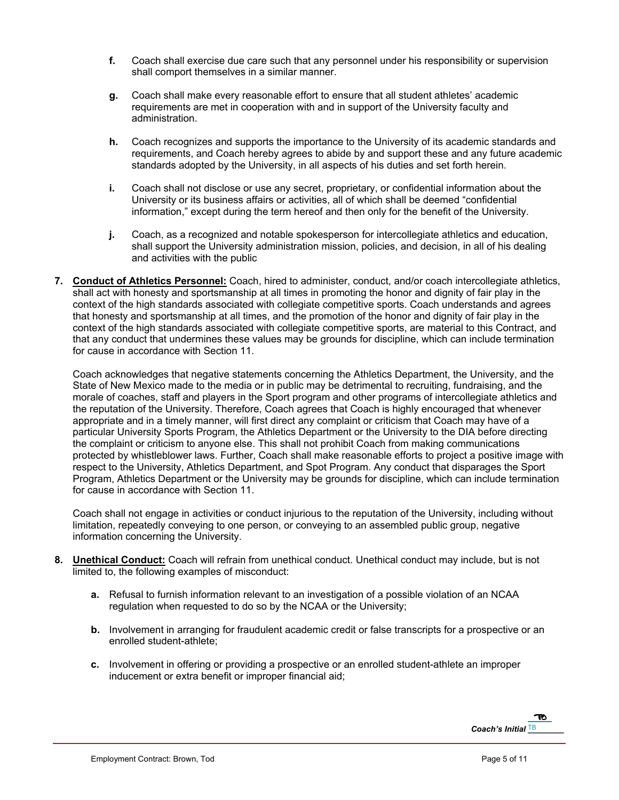- **f.** Coach shall exercise due care such that any personnel under his responsibility or supervision shall comport themselves in a similar manner.
- **g.** Coach shall make every reasonable effort to ensure that all student athletes' academic requirements are met in cooperation with and in support of the University faculty and administration.
- **h.** Coach recognizes and supports the importance to the University of its academic standards and requirements, and Coach hereby agrees to abide by and support these and any future academic standards adopted by the University, in all aspects of his duties and set forth herein.
- **i.** Coach shall not disclose or use any secret, proprietary, or confidential information about the University or its business affairs or activities, all of which shall be deemed "confidential information," except during the term hereof and then only for the benefit of the University.
- **j.** Coach, as a recognized and notable spokesperson for intercollegiate athletics and education, shall support the University administration mission, policies, and decision, in all of his dealing and activities with the public
- **7. Conduct of Athletics Personnel:** Coach, hired to administer, conduct, and/or coach intercollegiate athletics, shall act with honesty and sportsmanship at all times in promoting the honor and dignity of fair play in the context of the high standards associated with collegiate competitive sports. Coach understands and agrees that honesty and sportsmanship at all times, and the promotion of the honor and dignity of fair play in the context of the high standards associated with collegiate competitive sports, are material to this Contract, and that any conduct that undermines these values may be grounds for discipline, which can include termination for cause in accordance with Section 11.

Coach acknowledges that negative statements concerning the Athletics Department, the University, and the State of New Mexico made to the media or in public may be detrimental to recruiting, fundraising, and the morale of coaches, staff and players in the Sport program and other programs of intercollegiate athletics and the reputation of the University. Therefore, Coach agrees that Coach is highly encouraged that whenever appropriate and in a timely manner, will first direct any complaint or criticism that Coach may have of a particular University Sports Program, the Athletics Department or the University to the DIA before directing the complaint or criticism to anyone else. This shall not prohibit Coach from making communications protected by whistleblower laws. Further, Coach shall make reasonable efforts to project a positive image with respect to the University, Athletics Department, and Spot Program. Any conduct that disparages the Sport Program, Athletics Department or the University may be grounds for discipline, which can include termination for cause in accordance with Section 11.

Coach shall not engage in activities or conduct injurious to the reputation of the University, including without limitation, repeatedly conveying to one person, or conveying to an assembled public group, negative information concerning the University.

- **8. Unethical Conduct:** Coach will refrain from unethical conduct. Unethical conduct may include, but is not limited to, the following examples of misconduct:
	- **a.** Refusal to furnish information relevant to an investigation of a possible violation of an NCAA regulation when requested to do so by the NCAA or the University;
	- **b.** Involvement in arranging for fraudulent academic credit or false transcripts for a prospective or an enrolled student-athlete;
	- **c.** Involvement in offering or providing a prospective or an enrolled student-athlete an improper inducement or extra benefit or improper financial aid;

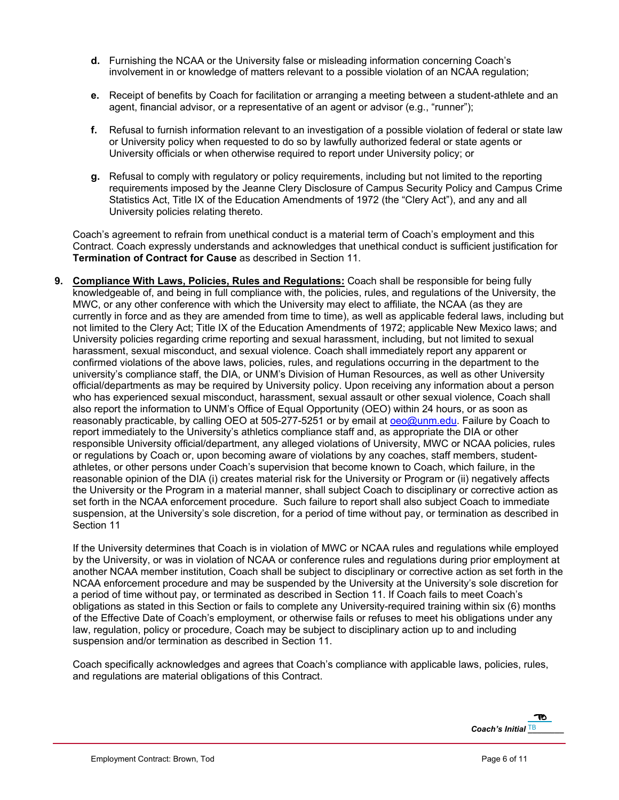- **d.** Furnishing the NCAA or the University false or misleading information concerning Coach's involvement in or knowledge of matters relevant to a possible violation of an NCAA regulation;
- **e.** Receipt of benefits by Coach for facilitation or arranging a meeting between a student-athlete and an agent, financial advisor, or a representative of an agent or advisor (e.g., "runner");
- **f.** Refusal to furnish information relevant to an investigation of a possible violation of federal or state law or University policy when requested to do so by lawfully authorized federal or state agents or University officials or when otherwise required to report under University policy; or
- **g.** Refusal to comply with regulatory or policy requirements, including but not limited to the reporting requirements imposed by the Jeanne Clery Disclosure of Campus Security Policy and Campus Crime Statistics Act, Title IX of the Education Amendments of 1972 (the "Clery Act"), and any and all University policies relating thereto.

Coach's agreement to refrain from unethical conduct is a material term of Coach's employment and this Contract. Coach expressly understands and acknowledges that unethical conduct is sufficient justification for **Termination of Contract for Cause** as described in Section 11.

**9. Compliance With Laws, Policies, Rules and Regulations:** Coach shall be responsible for being fully knowledgeable of, and being in full compliance with, the policies, rules, and regulations of the University, the MWC, or any other conference with which the University may elect to affiliate, the NCAA (as they are currently in force and as they are amended from time to time), as well as applicable federal laws, including but not limited to the Clery Act; Title IX of the Education Amendments of 1972; applicable New Mexico laws; and University policies regarding crime reporting and sexual harassment, including, but not limited to sexual harassment, sexual misconduct, and sexual violence. Coach shall immediately report any apparent or confirmed violations of the above laws, policies, rules, and regulations occurring in the department to the university's compliance staff, the DIA, or UNM's Division of Human Resources, as well as other University official/departments as may be required by University policy. Upon receiving any information about a person who has experienced sexual misconduct, harassment, sexual assault or other sexual violence, Coach shall also report the information to UNM's Office of Equal Opportunity (OEO) within 24 hours, or as soon as reasonably practicable, by calling OEO at 505-277-5251 or by email at oeo@unm.edu. Failure by Coach to report immediately to the University's athletics compliance staff and, as appropriate the DIA or other responsible University official/department, any alleged violations of University, MWC or NCAA policies, rules or regulations by Coach or, upon becoming aware of violations by any coaches, staff members, studentathletes, or other persons under Coach's supervision that become known to Coach, which failure, in the reasonable opinion of the DIA (i) creates material risk for the University or Program or (ii) negatively affects the University or the Program in a material manner, shall subject Coach to disciplinary or corrective action as set forth in the NCAA enforcement procedure. Such failure to report shall also subject Coach to immediate suspension, at the University's sole discretion, for a period of time without pay, or termination as described in Section 11

If the University determines that Coach is in violation of MWC or NCAA rules and regulations while employed by the University, or was in violation of NCAA or conference rules and regulations during prior employment at another NCAA member institution, Coach shall be subject to disciplinary or corrective action as set forth in the NCAA enforcement procedure and may be suspended by the University at the University's sole discretion for a period of time without pay, or terminated as described in Section 11. If Coach fails to meet Coach's obligations as stated in this Section or fails to complete any University-required training within six (6) months of the Effective Date of Coach's employment, or otherwise fails or refuses to meet his obligations under any law, regulation, policy or procedure, Coach may be subject to disciplinary action up to and including suspension and/or termination as described in Section 11.

Coach specifically acknowledges and agrees that Coach's compliance with applicable laws, policies, rules, and regulations are material obligations of this Contract.

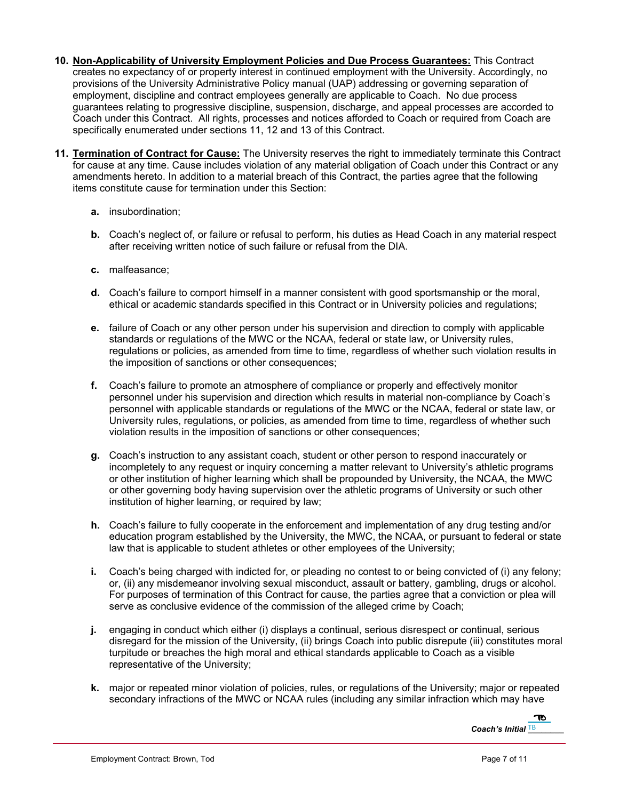- **10. Non-Applicability of University Employment Policies and Due Process Guarantees:** This Contract creates no expectancy of or property interest in continued employment with the University. Accordingly, no provisions of the University Administrative Policy manual (UAP) addressing or governing separation of employment, discipline and contract employees generally are applicable to Coach. No due process guarantees relating to progressive discipline, suspension, discharge, and appeal processes are accorded to Coach under this Contract. All rights, processes and notices afforded to Coach or required from Coach are specifically enumerated under sections 11, 12 and 13 of this Contract.
- **11. Termination of Contract for Cause:** The University reserves the right to immediately terminate this Contract for cause at any time. Cause includes violation of any material obligation of Coach under this Contract or any amendments hereto. In addition to a material breach of this Contract, the parties agree that the following items constitute cause for termination under this Section:
	- **a.** insubordination;
	- **b.** Coach's neglect of, or failure or refusal to perform, his duties as Head Coach in any material respect after receiving written notice of such failure or refusal from the DIA.
	- **c.** malfeasance;
	- **d.** Coach's failure to comport himself in a manner consistent with good sportsmanship or the moral, ethical or academic standards specified in this Contract or in University policies and regulations;
	- **e.** failure of Coach or any other person under his supervision and direction to comply with applicable standards or regulations of the MWC or the NCAA, federal or state law, or University rules, regulations or policies, as amended from time to time, regardless of whether such violation results in the imposition of sanctions or other consequences;
	- **f.** Coach's failure to promote an atmosphere of compliance or properly and effectively monitor personnel under his supervision and direction which results in material non-compliance by Coach's personnel with applicable standards or regulations of the MWC or the NCAA, federal or state law, or University rules, regulations, or policies, as amended from time to time, regardless of whether such violation results in the imposition of sanctions or other consequences;
	- **g.** Coach's instruction to any assistant coach, student or other person to respond inaccurately or incompletely to any request or inquiry concerning a matter relevant to University's athletic programs or other institution of higher learning which shall be propounded by University, the NCAA, the MWC or other governing body having supervision over the athletic programs of University or such other institution of higher learning, or required by law;
	- **h.** Coach's failure to fully cooperate in the enforcement and implementation of any drug testing and/or education program established by the University, the MWC, the NCAA, or pursuant to federal or state law that is applicable to student athletes or other employees of the University;
	- **i.** Coach's being charged with indicted for, or pleading no contest to or being convicted of (i) any felony; or, (ii) any misdemeanor involving sexual misconduct, assault or battery, gambling, drugs or alcohol. For purposes of termination of this Contract for cause, the parties agree that a conviction or plea will serve as conclusive evidence of the commission of the alleged crime by Coach;
	- **j.** engaging in conduct which either (i) displays a continual, serious disrespect or continual, serious disregard for the mission of the University, (ii) brings Coach into public disrepute (iii) constitutes moral turpitude or breaches the high moral and ethical standards applicable to Coach as a visible representative of the University;
	- **k.** major or repeated minor violation of policies, rules, or regulations of the University; major or repeated secondary infractions of the MWC or NCAA rules (including any similar infraction which may have

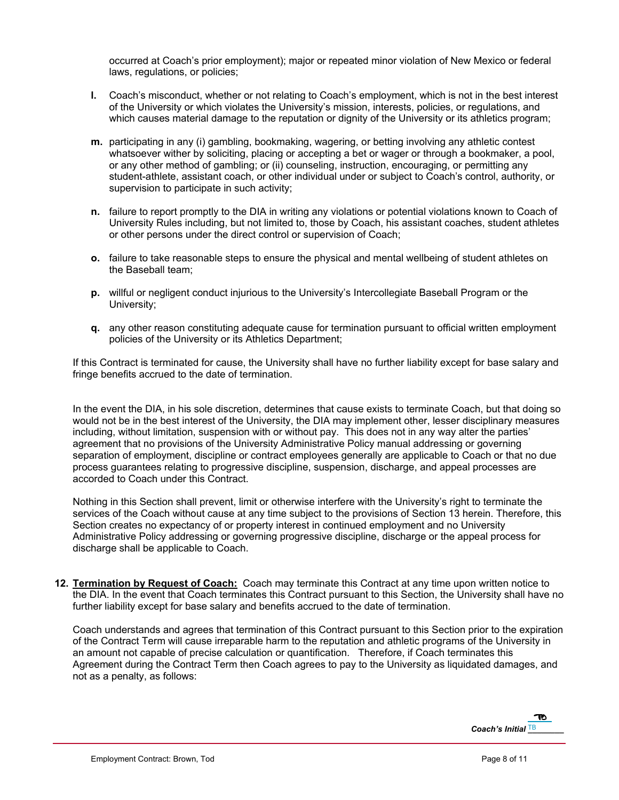occurred at Coach's prior employment); major or repeated minor violation of New Mexico or federal laws, regulations, or policies;

- **l.** Coach's misconduct, whether or not relating to Coach's employment, which is not in the best interest of the University or which violates the University's mission, interests, policies, or regulations, and which causes material damage to the reputation or dignity of the University or its athletics program;
- **m.** participating in any (i) gambling, bookmaking, wagering, or betting involving any athletic contest whatsoever wither by soliciting, placing or accepting a bet or wager or through a bookmaker, a pool, or any other method of gambling; or (ii) counseling, instruction, encouraging, or permitting any student-athlete, assistant coach, or other individual under or subject to Coach's control, authority, or supervision to participate in such activity;
- **n.** failure to report promptly to the DIA in writing any violations or potential violations known to Coach of University Rules including, but not limited to, those by Coach, his assistant coaches, student athletes or other persons under the direct control or supervision of Coach;
- **o.** failure to take reasonable steps to ensure the physical and mental wellbeing of student athletes on the Baseball team;
- **p.** willful or negligent conduct injurious to the University's Intercollegiate Baseball Program or the University;
- **q.** any other reason constituting adequate cause for termination pursuant to official written employment policies of the University or its Athletics Department;

If this Contract is terminated for cause, the University shall have no further liability except for base salary and fringe benefits accrued to the date of termination.

In the event the DIA, in his sole discretion, determines that cause exists to terminate Coach, but that doing so would not be in the best interest of the University, the DIA may implement other, lesser disciplinary measures including, without limitation, suspension with or without pay. This does not in any way alter the parties' agreement that no provisions of the University Administrative Policy manual addressing or governing separation of employment, discipline or contract employees generally are applicable to Coach or that no due process guarantees relating to progressive discipline, suspension, discharge, and appeal processes are accorded to Coach under this Contract.

Nothing in this Section shall prevent, limit or otherwise interfere with the University's right to terminate the services of the Coach without cause at any time subject to the provisions of Section 13 herein. Therefore, this Section creates no expectancy of or property interest in continued employment and no University Administrative Policy addressing or governing progressive discipline, discharge or the appeal process for discharge shall be applicable to Coach.

**12. Termination by Request of Coach:** Coach may terminate this Contract at any time upon written notice to the DIA. In the event that Coach terminates this Contract pursuant to this Section, the University shall have no further liability except for base salary and benefits accrued to the date of termination.

Coach understands and agrees that termination of this Contract pursuant to this Section prior to the expiration of the Contract Term will cause irreparable harm to the reputation and athletic programs of the University in an amount not capable of precise calculation or quantification. Therefore, if Coach terminates this Agreement during the Contract Term then Coach agrees to pay to the University as liquidated damages, and not as a penalty, as follows:

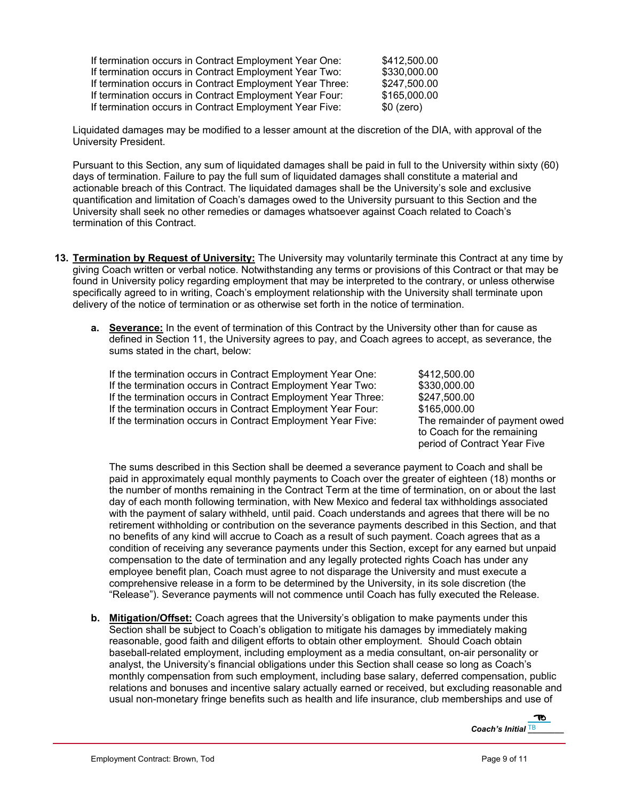| If termination occurs in Contract Employment Year One:   | \$412,500.00 |
|----------------------------------------------------------|--------------|
| If termination occurs in Contract Employment Year Two:   | \$330,000.00 |
| If termination occurs in Contract Employment Year Three: | \$247,500.00 |
| If termination occurs in Contract Employment Year Four:  | \$165,000.00 |
| If termination occurs in Contract Employment Year Five:  | $$0$ (zero)  |

Liquidated damages may be modified to a lesser amount at the discretion of the DIA, with approval of the University President.

Pursuant to this Section, any sum of liquidated damages shall be paid in full to the University within sixty (60) days of termination. Failure to pay the full sum of liquidated damages shall constitute a material and actionable breach of this Contract. The liquidated damages shall be the University's sole and exclusive quantification and limitation of Coach's damages owed to the University pursuant to this Section and the University shall seek no other remedies or damages whatsoever against Coach related to Coach's termination of this Contract.

- **13. Termination by Request of University:** The University may voluntarily terminate this Contract at any time by giving Coach written or verbal notice. Notwithstanding any terms or provisions of this Contract or that may be found in University policy regarding employment that may be interpreted to the contrary, or unless otherwise specifically agreed to in writing, Coach's employment relationship with the University shall terminate upon delivery of the notice of termination or as otherwise set forth in the notice of termination.
	- **a. Severance:** In the event of termination of this Contract by the University other than for cause as defined in Section 11, the University agrees to pay, and Coach agrees to accept, as severance, the sums stated in the chart, below:

If the termination occurs in Contract Employment Year One: \$412,500.00 If the termination occurs in Contract Employment Year Two: \$330,000.00 If the termination occurs in Contract Employment Year Three: \$247,500.00 If the termination occurs in Contract Employment Year Four: \$165,000.00<br>If the termination occurs in Contract Employment Year Five: The remainder of payment owed If the termination occurs in Contract Employment Year Five:

to Coach for the remaining period of Contract Year Five

The sums described in this Section shall be deemed a severance payment to Coach and shall be paid in approximately equal monthly payments to Coach over the greater of eighteen (18) months or the number of months remaining in the Contract Term at the time of termination, on or about the last day of each month following termination, with New Mexico and federal tax withholdings associated with the payment of salary withheld, until paid. Coach understands and agrees that there will be no retirement withholding or contribution on the severance payments described in this Section, and that no benefits of any kind will accrue to Coach as a result of such payment. Coach agrees that as a condition of receiving any severance payments under this Section, except for any earned but unpaid compensation to the date of termination and any legally protected rights Coach has under any employee benefit plan, Coach must agree to not disparage the University and must execute a comprehensive release in a form to be determined by the University, in its sole discretion (the "Release"). Severance payments will not commence until Coach has fully executed the Release.

**b. Mitigation/Offset:** Coach agrees that the University's obligation to make payments under this Section shall be subject to Coach's obligation to mitigate his damages by immediately making reasonable, good faith and diligent efforts to obtain other employment. Should Coach obtain baseball-related employment, including employment as a media consultant, on-air personality or analyst, the University's financial obligations under this Section shall cease so long as Coach's monthly compensation from such employment, including base salary, deferred compensation, public relations and bonuses and incentive salary actually earned or received, but excluding reasonable and usual non-monetary fringe benefits such as health and life insurance, club memberships and use of

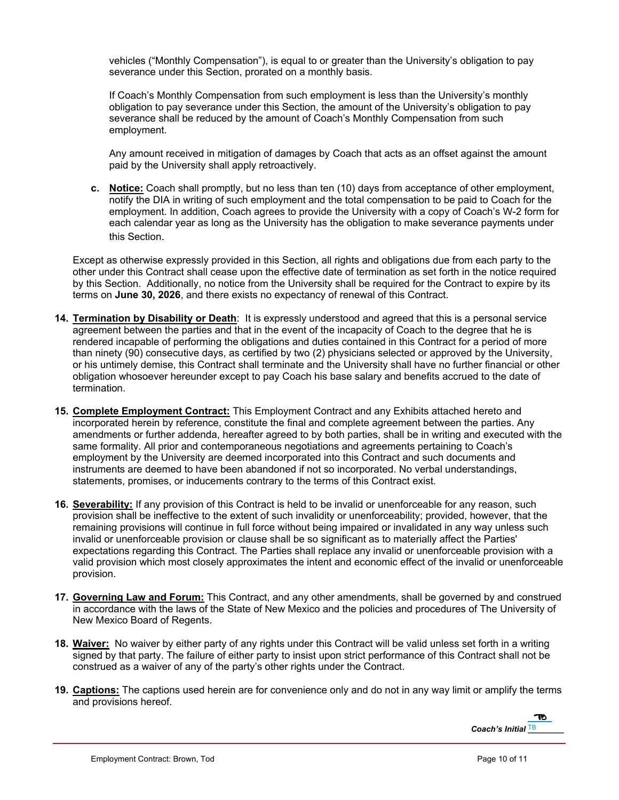vehicles ("Monthly Compensation"), is equal to or greater than the University's obligation to pay severance under this Section, prorated on a monthly basis.

If Coach's Monthly Compensation from such employment is less than the University's monthly obligation to pay severance under this Section, the amount of the University's obligation to pay severance shall be reduced by the amount of Coach's Monthly Compensation from such employment.

Any amount received in mitigation of damages by Coach that acts as an offset against the amount paid by the University shall apply retroactively.

**c. Notice:** Coach shall promptly, but no less than ten (10) days from acceptance of other employment, notify the DIA in writing of such employment and the total compensation to be paid to Coach for the employment. In addition, Coach agrees to provide the University with a copy of Coach's W-2 form for each calendar year as long as the University has the obligation to make severance payments under this Section.

Except as otherwise expressly provided in this Section, all rights and obligations due from each party to the other under this Contract shall cease upon the effective date of termination as set forth in the notice required by this Section. Additionally, no notice from the University shall be required for the Contract to expire by its terms on **June 30, 2026**, and there exists no expectancy of renewal of this Contract.

- **14. Termination by Disability or Death**: It is expressly understood and agreed that this is a personal service agreement between the parties and that in the event of the incapacity of Coach to the degree that he is rendered incapable of performing the obligations and duties contained in this Contract for a period of more than ninety (90) consecutive days, as certified by two (2) physicians selected or approved by the University, or his untimely demise, this Contract shall terminate and the University shall have no further financial or other obligation whosoever hereunder except to pay Coach his base salary and benefits accrued to the date of termination.
- **15. Complete Employment Contract:** This Employment Contract and any Exhibits attached hereto and incorporated herein by reference, constitute the final and complete agreement between the parties. Any amendments or further addenda, hereafter agreed to by both parties, shall be in writing and executed with the same formality. All prior and contemporaneous negotiations and agreements pertaining to Coach's employment by the University are deemed incorporated into this Contract and such documents and instruments are deemed to have been abandoned if not so incorporated. No verbal understandings, statements, promises, or inducements contrary to the terms of this Contract exist.
- **16. Severability:** If any provision of this Contract is held to be invalid or unenforceable for any reason, such provision shall be ineffective to the extent of such invalidity or unenforceability; provided, however, that the remaining provisions will continue in full force without being impaired or invalidated in any way unless such invalid or unenforceable provision or clause shall be so significant as to materially affect the Parties' expectations regarding this Contract. The Parties shall replace any invalid or unenforceable provision with a valid provision which most closely approximates the intent and economic effect of the invalid or unenforceable provision.
- **17. Governing Law and Forum:** This Contract, and any other amendments, shall be governed by and construed in accordance with the laws of the State of New Mexico and the policies and procedures of The University of New Mexico Board of Regents.
- **18. Waiver:** No waiver by either party of any rights under this Contract will be valid unless set forth in a writing signed by that party. The failure of either party to insist upon strict performance of this Contract shall not be construed as a waiver of any of the party's other rights under the Contract.
- **19. Captions:** The captions used herein are for convenience only and do not in any way limit or amplify the terms and provisions hereof.